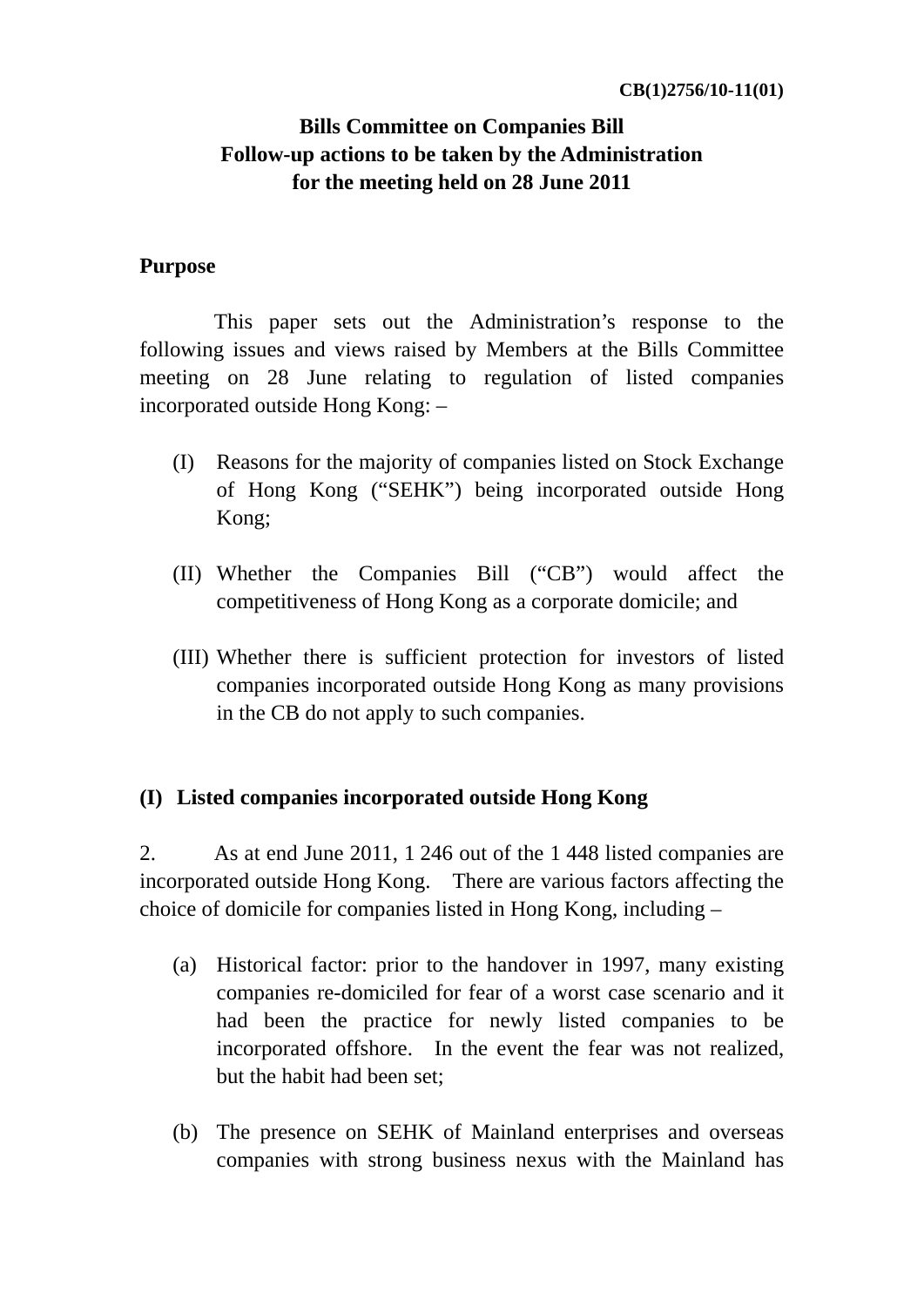# **Bills Committee on Companies Bill Follow-up actions to be taken by the Administration for the meeting held on 28 June 2011**

#### **Purpose**

 This paper sets out the Administration's response to the following issues and views raised by Members at the Bills Committee meeting on 28 June relating to regulation of listed companies incorporated outside Hong Kong: –

- (I) Reasons for the majority of companies listed on Stock Exchange of Hong Kong ("SEHK") being incorporated outside Hong Kong;
- (II) Whether the Companies Bill ("CB") would affect the competitiveness of Hong Kong as a corporate domicile; and
- (III) Whether there is sufficient protection for investors of listed companies incorporated outside Hong Kong as many provisions in the CB do not apply to such companies.

#### **(I) Listed companies incorporated outside Hong Kong**

2. As at end June 2011, 1 246 out of the 1 448 listed companies are incorporated outside Hong Kong. There are various factors affecting the choice of domicile for companies listed in Hong Kong, including –

- (a) Historical factor: prior to the handover in 1997, many existing companies re-domiciled for fear of a worst case scenario and it had been the practice for newly listed companies to be incorporated offshore. In the event the fear was not realized, but the habit had been set;
- (b) The presence on SEHK of Mainland enterprises and overseas companies with strong business nexus with the Mainland has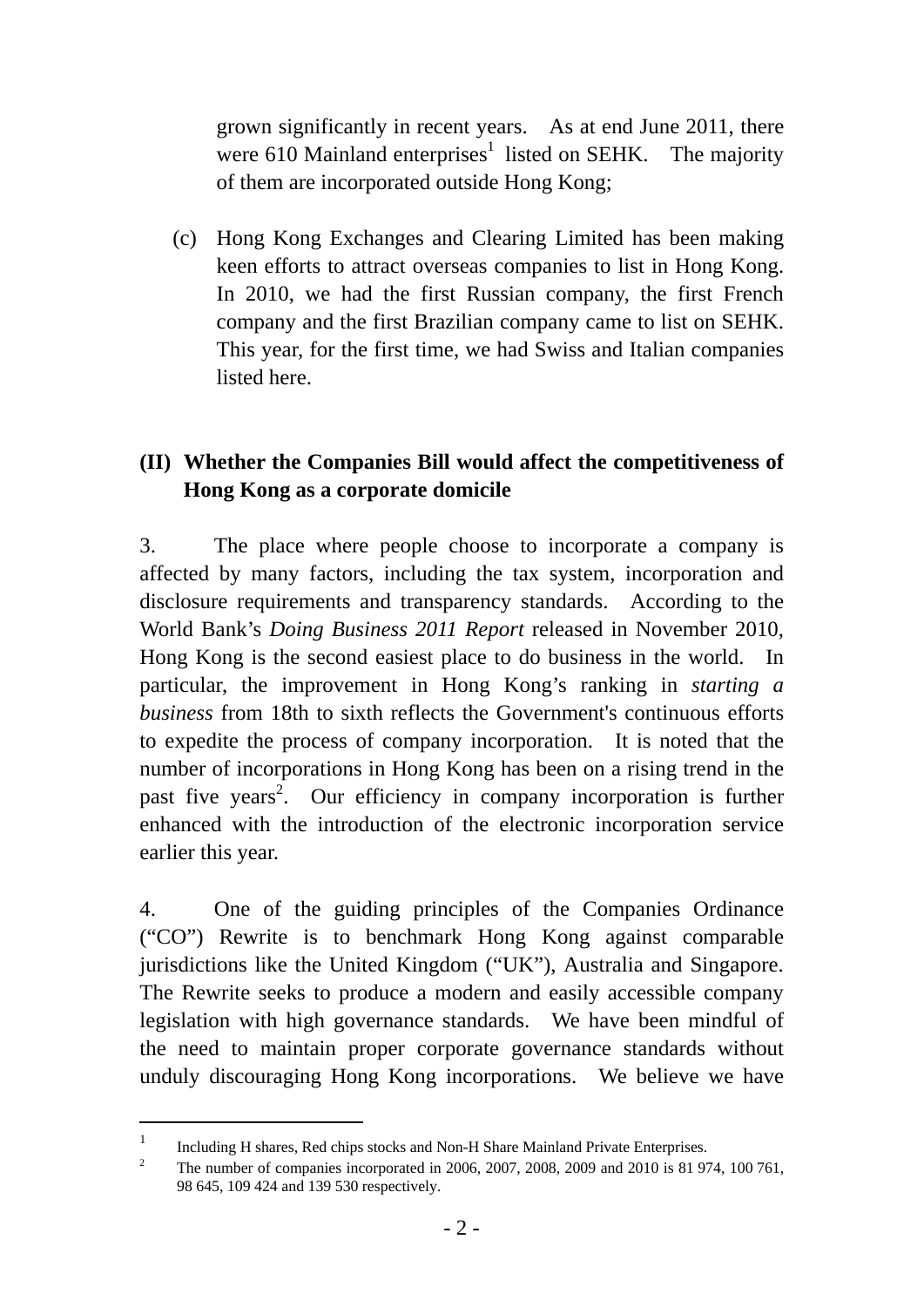grown significantly in recent years. As at end June 2011, there were 610 Mainland enterprises<sup>1</sup> listed on SEHK. The majority of them are incorporated outside Hong Kong;

(c) Hong Kong Exchanges and Clearing Limited has been making keen efforts to attract overseas companies to list in Hong Kong. In 2010, we had the first Russian company, the first French company and the first Brazilian company came to list on SEHK. This year, for the first time, we had Swiss and Italian companies listed here.

## **(II) Whether the Companies Bill would affect the competitiveness of Hong Kong as a corporate domicile**

3. The place where people choose to incorporate a company is affected by many factors, including the tax system, incorporation and disclosure requirements and transparency standards. According to the World Bank's *Doing Business 2011 Report* released in November 2010, Hong Kong is the second easiest place to do business in the world. In particular, the improvement in Hong Kong's ranking in *starting a business* from 18th to sixth reflects the Government's continuous efforts to expedite the process of company incorporation. It is noted that the number of incorporations in Hong Kong has been on a rising trend in the past five years<sup>2</sup>. Our efficiency in company incorporation is further enhanced with the introduction of the electronic incorporation service earlier this year.

4. One of the guiding principles of the Companies Ordinance ("CO") Rewrite is to benchmark Hong Kong against comparable jurisdictions like the United Kingdom ("UK"), Australia and Singapore. The Rewrite seeks to produce a modern and easily accessible company legislation with high governance standards. We have been mindful of the need to maintain proper corporate governance standards without unduly discouraging Hong Kong incorporations. We believe we have

Including H shares, Red chips stocks and Non-H Share Mainland Private Enterprises.<br>
<sup>2</sup> The number of componies incorporated in 2006, 2007, 2009, 2009, 2009, 2010 is 81.07

The number of companies incorporated in 2006, 2007, 2008, 2009 and 2010 is 81 974, 100 761, 98 645, 109 424 and 139 530 respectively.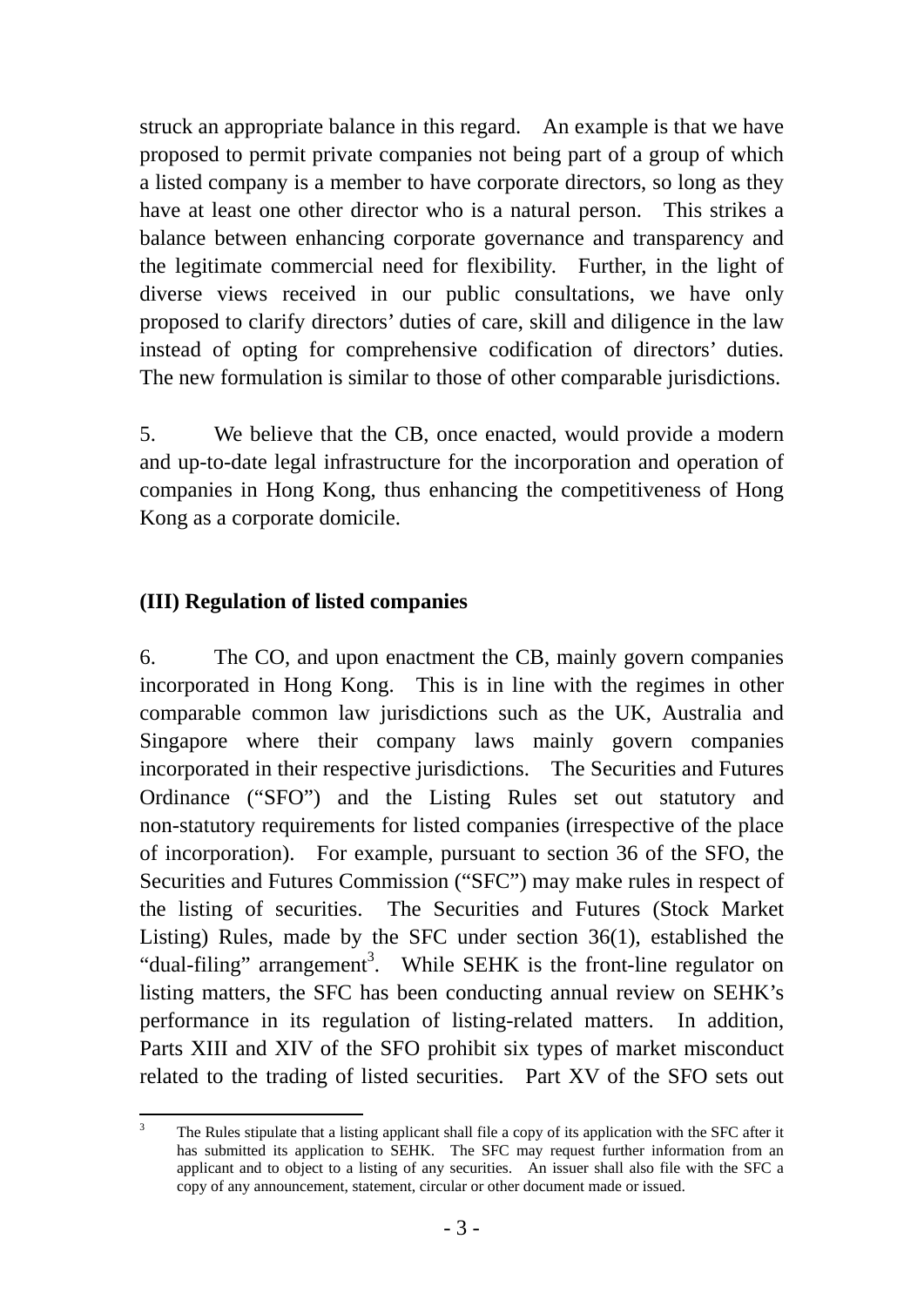struck an appropriate balance in this regard. An example is that we have proposed to permit private companies not being part of a group of which a listed company is a member to have corporate directors, so long as they have at least one other director who is a natural person. This strikes a balance between enhancing corporate governance and transparency and the legitimate commercial need for flexibility. Further, in the light of diverse views received in our public consultations, we have only proposed to clarify directors' duties of care, skill and diligence in the law instead of opting for comprehensive codification of directors' duties. The new formulation is similar to those of other comparable jurisdictions.

5. We believe that the CB, once enacted, would provide a modern and up-to-date legal infrastructure for the incorporation and operation of companies in Hong Kong, thus enhancing the competitiveness of Hong Kong as a corporate domicile.

### **(III) Regulation of listed companies**

6. The CO, and upon enactment the CB, mainly govern companies incorporated in Hong Kong. This is in line with the regimes in other comparable common law jurisdictions such as the UK, Australia and Singapore where their company laws mainly govern companies incorporated in their respective jurisdictions. The Securities and Futures Ordinance ("SFO") and the Listing Rules set out statutory and non-statutory requirements for listed companies (irrespective of the place of incorporation). For example, pursuant to section 36 of the SFO, the Securities and Futures Commission ("SFC") may make rules in respect of the listing of securities. The Securities and Futures (Stock Market Listing) Rules, made by the SFC under section 36(1), established the "dual-filing" arrangement<sup>3</sup>. While SEHK is the front-line regulator on listing matters, the SFC has been conducting annual review on SEHK's performance in its regulation of listing-related matters. In addition, Parts XIII and XIV of the SFO prohibit six types of market misconduct related to the trading of listed securities. Part XV of the SFO sets out

 3 The Rules stipulate that a listing applicant shall file a copy of its application with the SFC after it has submitted its application to SEHK. The SFC may request further information from an applicant and to object to a listing of any securities. An issuer shall also file with the SFC a copy of any announcement, statement, circular or other document made or issued.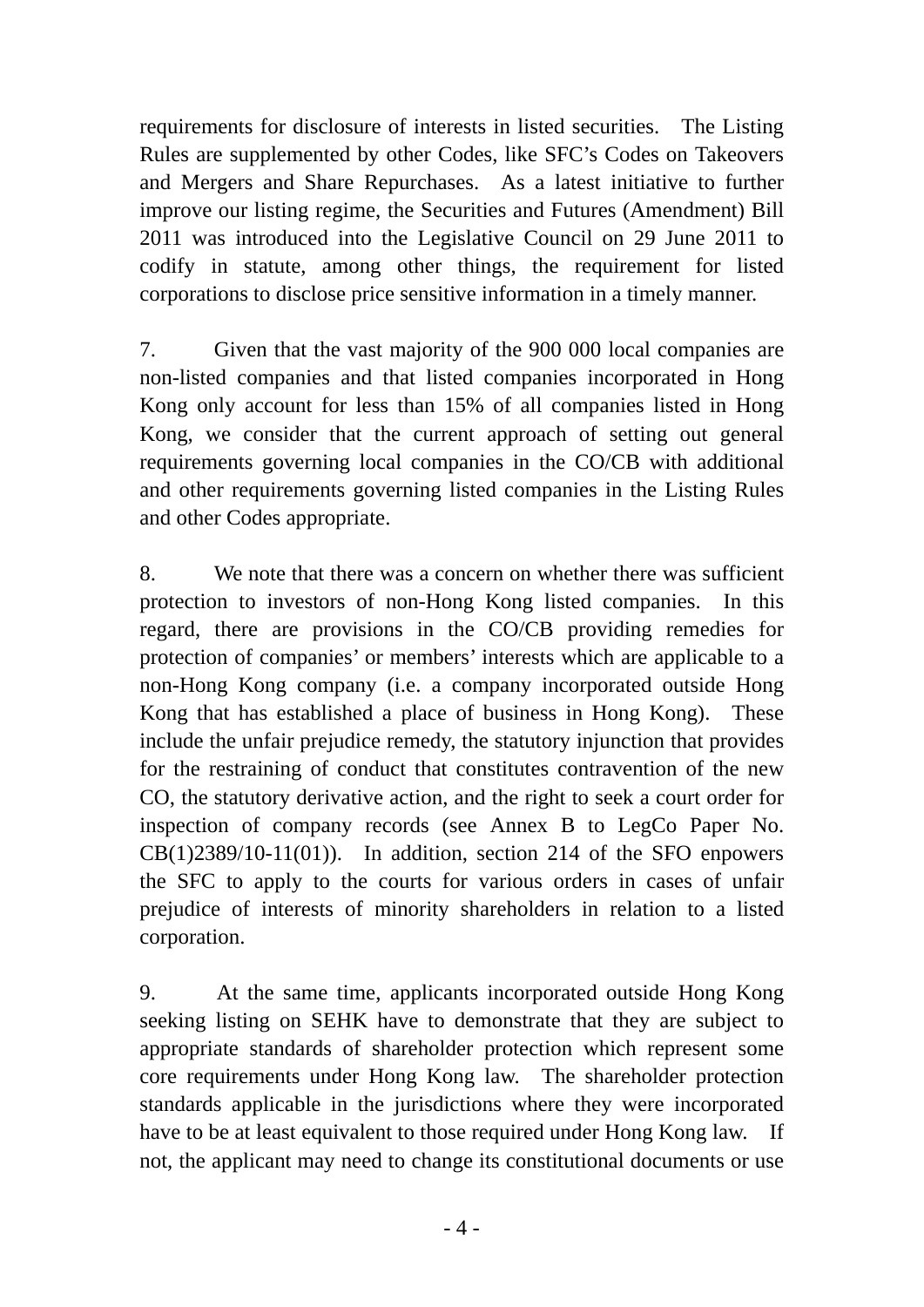requirements for disclosure of interests in listed securities. The Listing Rules are supplemented by other Codes, like SFC's Codes on Takeovers and Mergers and Share Repurchases. As a latest initiative to further improve our listing regime, the Securities and Futures (Amendment) Bill 2011 was introduced into the Legislative Council on 29 June 2011 to codify in statute, among other things, the requirement for listed corporations to disclose price sensitive information in a timely manner.

7. Given that the vast majority of the 900 000 local companies are non-listed companies and that listed companies incorporated in Hong Kong only account for less than 15% of all companies listed in Hong Kong, we consider that the current approach of setting out general requirements governing local companies in the CO/CB with additional and other requirements governing listed companies in the Listing Rules and other Codes appropriate.

8. We note that there was a concern on whether there was sufficient protection to investors of non-Hong Kong listed companies. In this regard, there are provisions in the CO/CB providing remedies for protection of companies' or members' interests which are applicable to a non-Hong Kong company (i.e. a company incorporated outside Hong Kong that has established a place of business in Hong Kong). These include the unfair prejudice remedy, the statutory injunction that provides for the restraining of conduct that constitutes contravention of the new CO, the statutory derivative action, and the right to seek a court order for inspection of company records (see Annex B to LegCo Paper No.  $CB(1)2389/10-11(01)$ . In addition, section 214 of the SFO enpowers the SFC to apply to the courts for various orders in cases of unfair prejudice of interests of minority shareholders in relation to a listed corporation.

9. At the same time, applicants incorporated outside Hong Kong seeking listing on SEHK have to demonstrate that they are subject to appropriate standards of shareholder protection which represent some core requirements under Hong Kong law. The shareholder protection standards applicable in the jurisdictions where they were incorporated have to be at least equivalent to those required under Hong Kong law. If not, the applicant may need to change its constitutional documents or use